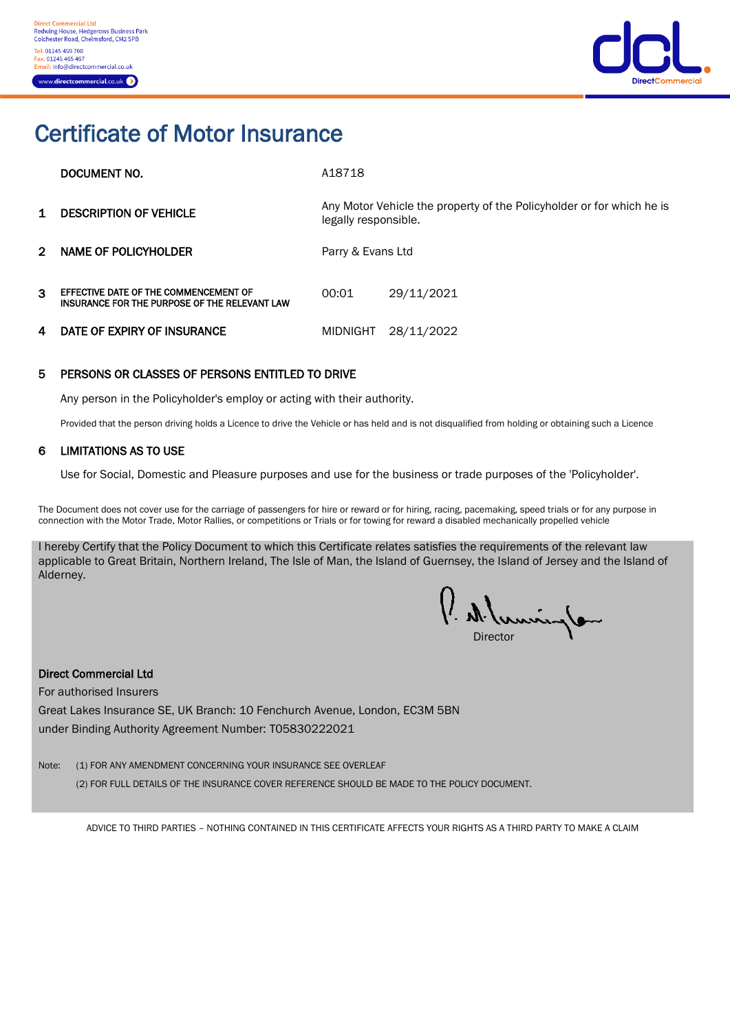

# Certificate of Motor Insurance

|    | DOCUMENT NO.                                                                           | A18718                                                                                        |            |
|----|----------------------------------------------------------------------------------------|-----------------------------------------------------------------------------------------------|------------|
| 1. | <b>DESCRIPTION OF VEHICLE</b>                                                          | Any Motor Vehicle the property of the Policyholder or for which he is<br>legally responsible. |            |
| 2. | NAME OF POLICYHOLDER                                                                   | Parry & Evans Ltd                                                                             |            |
| 3  | EFFECTIVE DATE OF THE COMMENCEMENT OF<br>INSURANCE FOR THE PURPOSE OF THE RELEVANT LAW | 00:01                                                                                         | 29/11/2021 |
| 4  | DATE OF EXPIRY OF INSURANCE                                                            | MIDNIGHT                                                                                      | 28/11/2022 |

#### 5 PERSONS OR CLASSES OF PERSONS ENTITLED TO DRIVE

Any person in the Policyholder's employ or acting with their authority.

Provided that the person driving holds a Licence to drive the Vehicle or has held and is not disqualified from holding or obtaining such a Licence

#### 6 LIMITATIONS AS TO USE

Use for Social, Domestic and Pleasure purposes and use for the business or trade purposes of the 'Policyholder'.

The Document does not cover use for the carriage of passengers for hire or reward or for hiring, racing, pacemaking, speed trials or for any purpose in connection with the Motor Trade, Motor Rallies, or competitions or Trials or for towing for reward a disabled mechanically propelled vehicle

I hereby Certify that the Policy Document to which this Certificate relates satisfies the requirements of the relevant law applicable to Great Britain, Northern Ireland, The Isle of Man, the Island of Guernsey, the Island of Jersey and the Island of Alderney.

umins Director

#### Direct Commercial Ltd

For authorised Insurers Great Lakes Insurance SE, UK Branch: 10 Fenchurch Avenue, London, EC3M 5BN

under Binding Authority Agreement Number: T05830222021

Note: (1) FOR ANY AMENDMENT CONCERNING YOUR INSURANCE SEE OVERLEAF (2) FOR FULL DETAILS OF THE INSURANCE COVER REFERENCE SHOULD BE MADE TO THE POLICY DOCUMENT.

ADVICE TO THIRD PARTIES – NOTHING CONTAINED IN THIS CERTIFICATE AFFECTS YOUR RIGHTS AS A THIRD PARTY TO MAKE A CLAIM